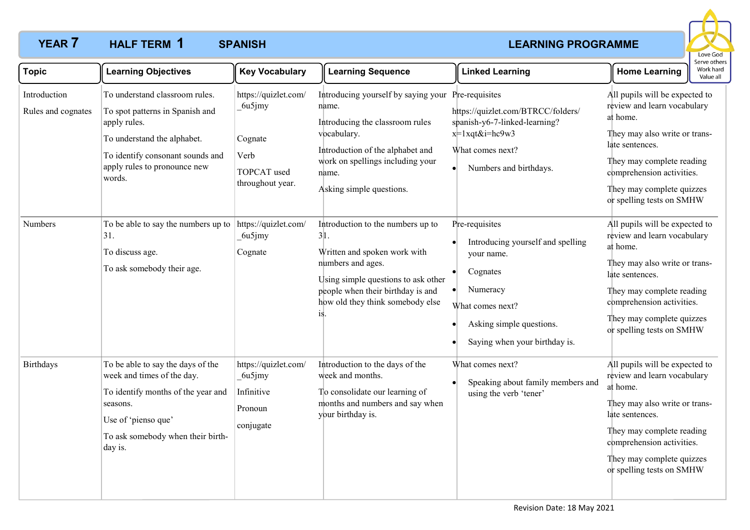# **YEAR 7 HALF TERM 1 SPANISH And All and All and All and All and All and All and All and All and All and All and All and All and All and All and All and All and All and All and All and All and All and All and All and HALF TERM SPANISH 1**



| <b>Topic</b>                                  | <b>Learning Objectives</b>                                                                                                                                                                                                            | <b>Key Vocabulary</b>                                                                                        | <b>Learning Sequence</b>                                                                                                                                                                                                                                        | <b>Linked Learning</b>                                                                                                                                                | serve otn<br>Work har<br><b>Home Learning</b><br>Value al                                                                                                                                                                                                                           |
|-----------------------------------------------|---------------------------------------------------------------------------------------------------------------------------------------------------------------------------------------------------------------------------------------|--------------------------------------------------------------------------------------------------------------|-----------------------------------------------------------------------------------------------------------------------------------------------------------------------------------------------------------------------------------------------------------------|-----------------------------------------------------------------------------------------------------------------------------------------------------------------------|-------------------------------------------------------------------------------------------------------------------------------------------------------------------------------------------------------------------------------------------------------------------------------------|
| Introduction<br>Rules and cognates<br>Numbers | To understand classroom rules.<br>To spot patterns in Spanish and<br>apply rules.<br>To understand the alphabet.<br>To identify consonant sounds and<br>apply rules to pronounce new<br>words.<br>To be able to say the numbers up to | https://quizlet.com/<br>6u5jmy<br>Cognate<br>Verb<br>TOPCAT used<br>throughout year.<br>https://quizlet.com/ | Introducing yourself by saying your Pre-requisites<br>name.<br>Introducing the classroom rules<br>vocabulary.<br>Introduction of the alphabet and<br>work on spellings including your<br>name.<br>Asking simple questions.<br>Introduction to the numbers up to | https://quizlet.com/BTRCC/folders/<br>spanish-y6-7-linked-learning?<br>$x=1$ xqt&i=hc9w3<br>What comes next?<br>Numbers and birthdays.<br>$\bullet$<br>Pre-requisites | All pupils will be expected to<br>review and learn vocabulary<br>at home.<br>They may also write or trans-<br>late sentences.<br>They may complete reading<br>comprehension activities.<br>They may complete quizzes<br>or spelling tests on SMHW<br>All pupils will be expected to |
|                                               | 31.<br>To discuss age.<br>To ask somebody their age.                                                                                                                                                                                  | 6u5jmy<br>Cognate                                                                                            | 31.<br>Written and spoken work with<br>numbers and ages.<br>Using simple questions to ask other<br>people when their birthday is and<br>how old they think somebody else                                                                                        | Introducing yourself and spelling<br>your name.<br>Cognates<br>$\bullet$<br>Numeracy<br>What comes next?<br>Asking simple questions.<br>Saying when your birthday is. | review and learn vocabulary<br>at home.<br>They may also write or trans-<br>late sentences.<br>They may complete reading<br>comprehension activities.<br>They may complete quizzes<br>or spelling tests on SMHW                                                                     |
| <b>Birthdays</b>                              | To be able to say the days of the<br>week and times of the day.<br>To identify months of the year and<br>seasons.<br>Use of 'pienso que'<br>To ask somebody when their birth-<br>day is.                                              | https://quizlet.com/<br>6u5jmy<br>Infinitive<br>Pronoun<br>conjugate                                         | Introduction to the days of the<br>week and months.<br>To consolidate our learning of<br>months and numbers and say when<br>your birthday is.                                                                                                                   | What comes next?<br>Speaking about family members and<br>using the verb 'tener'                                                                                       | All pupils will be expected to<br>review and learn vocabulary<br>at home.<br>They may also write or trans-<br>late sentences.<br>They may complete reading<br>comprehension activities.<br>They may complete quizzes<br>or spelling tests on SMHW                                   |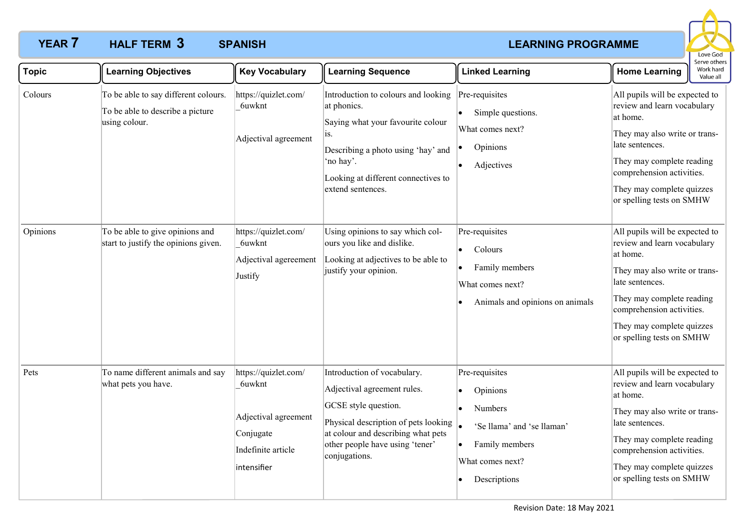# **YEAR 7 HALF TERM 3 SPANISH And All According to the CEARNING PROGRAMME HALF TERM SPANISH 3**



| <b>Topic</b> | <b>Learning Objectives</b>                                                                | <b>Key Vocabulary</b>                                                                                    | <b>Learning Sequence</b>                                                                                                                                                                                             | <b>Linked Learning</b>                                                                                                    | Serve other<br>Work hard<br><b>Home Learning</b><br>Value all                                                                                                                                                                                     |
|--------------|-------------------------------------------------------------------------------------------|----------------------------------------------------------------------------------------------------------|----------------------------------------------------------------------------------------------------------------------------------------------------------------------------------------------------------------------|---------------------------------------------------------------------------------------------------------------------------|---------------------------------------------------------------------------------------------------------------------------------------------------------------------------------------------------------------------------------------------------|
| Colours      | To be able to say different colours.<br>To be able to describe a picture<br>using colour. | https://quizlet.com/<br>6uwknt<br>Adjectival agreement                                                   | Introduction to colours and looking<br>at phonics.<br>Saying what your favourite colour<br>1S.<br>Describing a photo using 'hay' and<br>'no hay'.<br>Looking at different connectives to<br>extend sentences.        | Pre-requisites<br>Simple questions.<br>What comes next?<br>Opinions<br>Adjectives                                         | All pupils will be expected to<br>review and learn vocabulary<br>at home.<br>They may also write or trans-<br>late sentences.<br>They may complete reading<br>comprehension activities.<br>They may complete quizzes<br>or spelling tests on SMHW |
| Opinions     | To be able to give opinions and<br>start to justify the opinions given.                   | https://quizlet.com/<br>6uwknt<br>Adjectival agereement<br>Justify                                       | Using opinions to say which col-<br>ours you like and dislike.<br>Looking at adjectives to be able to<br>justify your opinion.                                                                                       | Pre-requisites<br>Colours<br>Family members<br>What comes next?<br>Animals and opinions on animals                        | All pupils will be expected to<br>review and learn vocabulary<br>at home.<br>They may also write or trans-<br>late sentences.<br>They may complete reading<br>comprehension activities.<br>They may complete quizzes<br>or spelling tests on SMHW |
| Pets         | To name different animals and say<br>what pets you have.                                  | https://quizlet.com/<br>6uwknt<br>Adjectival agreement<br>Conjugate<br>Indefinite article<br>intensifier | Introduction of vocabulary.<br>Adjectival agreement rules.<br>GCSE style question.<br>Physical description of pets looking<br>at colour and describing what pets<br>other people have using 'tener'<br>conjugations. | Pre-requisites<br>Opinions<br>Numbers<br>'Se llama' and 'se llaman'<br>Family members<br>What comes next?<br>Descriptions | All pupils will be expected to<br>review and learn vocabulary<br>at home.<br>They may also write or trans-<br>late sentences.<br>They may complete reading<br>comprehension activities.<br>They may complete quizzes<br>or spelling tests on SMHW |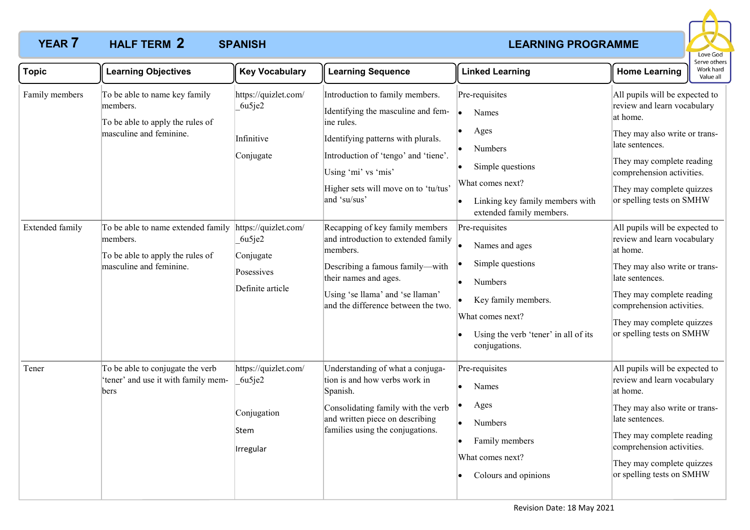# **YEAR 7 HALF TERM 2 SPANISH And All According to the CEARNING PROGRAMME HALF TERM SPANISH 2**



| <b>Topic</b>    | <b>Learning Objectives</b>                                                                                    | <b>Key Vocabulary</b>                                                         | <b>Learning Sequence</b>                                                                                                                                                                                                                         | <b>Linked Learning</b>                                                                                                                                              | <b>Home Learning</b>                                                                                                                                                                                                                              | eive other.<br>Work hard<br>Value all |
|-----------------|---------------------------------------------------------------------------------------------------------------|-------------------------------------------------------------------------------|--------------------------------------------------------------------------------------------------------------------------------------------------------------------------------------------------------------------------------------------------|---------------------------------------------------------------------------------------------------------------------------------------------------------------------|---------------------------------------------------------------------------------------------------------------------------------------------------------------------------------------------------------------------------------------------------|---------------------------------------|
| Family members  | To be able to name key family<br>members.<br>To be able to apply the rules of<br>masculine and feminine.      | https://quizlet.com/<br>6u5je2<br>Infinitive<br>Conjugate                     | Introduction to family members.<br>Identifying the masculine and fem-<br>ine rules.<br>Identifying patterns with plurals.<br>Introduction of 'tengo' and 'tiene'.<br>Using 'mi' vs 'mis'<br>Higher sets will move on to 'tu/tus'<br>and 'su/sus' | Pre-requisites<br>Names<br>Ages<br><b>Numbers</b><br>Simple questions<br>What comes next?<br>Linking key family members with<br>extended family members.            | All pupils will be expected to<br>review and learn vocabulary<br>at home.<br>They may also write or trans-<br>late sentences.<br>They may complete reading<br>comprehension activities.<br>They may complete quizzes<br>or spelling tests on SMHW |                                       |
| Extended family | To be able to name extended family<br>members.<br>To be able to apply the rules of<br>masculine and feminine. | https://quizlet.com/<br>6u5je2<br>Conjugate<br>Posessives<br>Definite article | Recapping of key family members<br>and introduction to extended family<br>members.<br>Describing a famous family-with<br>their names and ages.<br>Using 'se llama' and 'se llaman'<br>and the difference between the two.                        | Pre-requisites<br>Names and ages<br>Simple questions<br>Numbers<br>Key family members.<br>What comes next?<br>Using the verb 'tener' in all of its<br>conjugations. | All pupils will be expected to<br>review and learn vocabulary<br>at home.<br>They may also write or trans-<br>late sentences.<br>They may complete reading<br>comprehension activities.<br>They may complete quizzes<br>or spelling tests on SMHW |                                       |
| Tener           | To be able to conjugate the verb<br>'tener' and use it with family mem-<br>bers                               | https://quizlet.com/<br>6u5je2<br>Conjugation<br>Stem<br>Irregular            | Understanding of what a conjuga-<br>tion is and how verbs work in<br>Spanish.<br>Consolidating family with the verb<br>and written piece on describing<br>families using the conjugations.                                                       | Pre-requisites<br>Names<br>Ages<br>Numbers<br>I.<br>Family members<br>What comes next?<br>Colours and opinions                                                      | All pupils will be expected to<br>review and learn vocabulary<br>at home.<br>They may also write or trans-<br>late sentences.<br>They may complete reading<br>comprehension activities.<br>They may complete quizzes<br>or spelling tests on SMHW |                                       |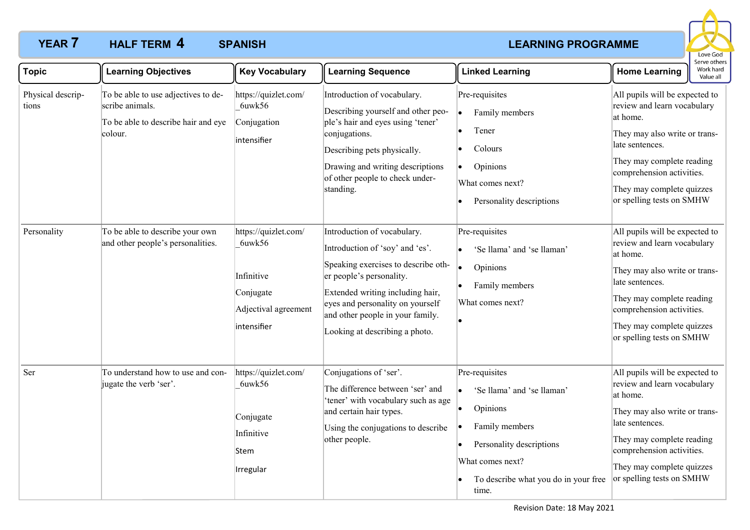# **YEAR 7 HALF TERM 4 SPANISH ACCOUNT ASSESSMENT ASSESSMENT AND REARNING PROGRAMME HALF TERM SPANISH 4**



| <b>Topic</b>               | <b>Learning Objectives</b>                                                                               | <b>Key Vocabulary</b>                                                                            | <b>Learning Sequence</b>                                                                                                                                                                                                                                                        | <b>Linked Learning</b>                                                                                                                                                      | Serve others<br>Work hard<br><b>Home Learning</b><br>Value all                                                                                                                                                                                    |
|----------------------------|----------------------------------------------------------------------------------------------------------|--------------------------------------------------------------------------------------------------|---------------------------------------------------------------------------------------------------------------------------------------------------------------------------------------------------------------------------------------------------------------------------------|-----------------------------------------------------------------------------------------------------------------------------------------------------------------------------|---------------------------------------------------------------------------------------------------------------------------------------------------------------------------------------------------------------------------------------------------|
| Physical descrip-<br>tions | To be able to use adjectives to de-<br>scribe animals.<br>To be able to describe hair and eye<br>colour. | https://quizlet.com/<br>6uwk56<br>Conjugation<br>intensifier                                     | Introduction of vocabulary.<br>Describing yourself and other peo-<br>ple's hair and eyes using 'tener'<br>conjugations.<br>Describing pets physically.<br>Drawing and writing descriptions<br>of other people to check under-<br>standing.                                      | Pre-requisites<br>Family members<br>٠<br>Tener<br>Colours<br>Opinions<br>What comes next?<br>Personality descriptions                                                       | All pupils will be expected to<br>review and learn vocabulary<br>at home.<br>They may also write or trans-<br>late sentences.<br>They may complete reading<br>comprehension activities.<br>They may complete quizzes<br>or spelling tests on SMHW |
| Personality                | To be able to describe your own<br>and other people's personalities.                                     | https://quizlet.com/<br>6uwk56<br>Infinitive<br>Conjugate<br>Adjectival agreement<br>intensifier | Introduction of vocabulary.<br>Introduction of 'soy' and 'es'.<br>Speaking exercises to describe oth-<br>er people's personality.<br>Extended writing including hair,<br>eyes and personality on yourself<br>and other people in your family.<br>Looking at describing a photo. | Pre-requisites<br>'Se llama' and 'se llaman'<br>Opinions<br>Family members<br>What comes next?                                                                              | All pupils will be expected to<br>review and learn vocabulary<br>at home.<br>They may also write or trans-<br>late sentences.<br>They may complete reading<br>comprehension activities.<br>They may complete quizzes<br>or spelling tests on SMHW |
| Ser                        | To understand how to use and con-<br>jugate the verb 'ser'.                                              | https://quizlet.com/<br>6uwk56<br>Conjugate<br>Infinitive<br>Stem<br>Irregular                   | Conjugations of 'ser'.<br>The difference between 'ser' and<br>'tener' with vocabulary such as age<br>and certain hair types.<br>Using the conjugations to describe<br>other people.                                                                                             | Pre-requisites<br>'Se llama' and 'se llaman'<br>Opinions<br>Family members<br>Personality descriptions<br>What comes next?<br>To describe what you do in your free<br>time. | All pupils will be expected to<br>review and learn vocabulary<br>at home.<br>They may also write or trans-<br>late sentences.<br>They may complete reading<br>comprehension activities.<br>They may complete quizzes<br>or spelling tests on SMHW |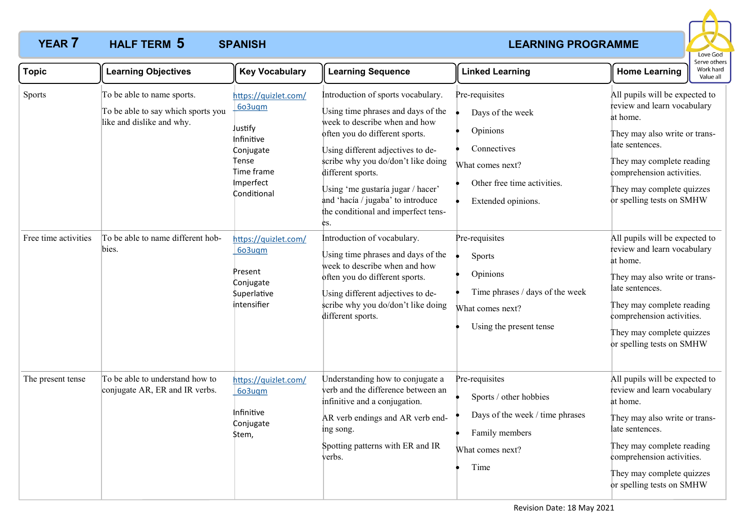# **YEAR 7 HALF TERM 5 SPANISH And All According to the CEARNING PROGRAMME HALF TERM SPANISH 5**



| <b>Topic</b>         | <b>Learning Objectives</b>                                                                    | <b>Key Vocabulary</b>                                                                                                   | <b>Learning Sequence</b>                                                                                                                                                                                                                                                                                                                                            | <b>Linked Learning</b>                                                                                                                 | <b>Home Learning</b>                                                                                                                                                                                                                              | Work hard<br>Value all |
|----------------------|-----------------------------------------------------------------------------------------------|-------------------------------------------------------------------------------------------------------------------------|---------------------------------------------------------------------------------------------------------------------------------------------------------------------------------------------------------------------------------------------------------------------------------------------------------------------------------------------------------------------|----------------------------------------------------------------------------------------------------------------------------------------|---------------------------------------------------------------------------------------------------------------------------------------------------------------------------------------------------------------------------------------------------|------------------------|
| Sports               | To be able to name sports.<br>To be able to say which sports you<br>like and dislike and why. | https://quizlet.com/<br>6o3uqm<br>Justify<br>Infinitive<br>Conjugate<br>Tense<br>time frame<br>Imperfect<br>Conditional | Introduction of sports vocabulary.<br>Using time phrases and days of the<br>week to describe when and how<br>often you do different sports.<br>Using different adjectives to de-<br>scribe why you do/don't like doing<br>different sports.<br>Using 'me gustaría jugar / hacer'<br>and 'hacía / jugaba' to introduce<br>the conditional and imperfect tens-<br>es. | Pre-requisites<br>Days of the week<br>Opinions<br>Connectives<br>What comes next?<br>Other free time activities.<br>Extended opinions. | All pupils will be expected to<br>review and learn vocabulary<br>at home.<br>They may also write or trans-<br>late sentences.<br>They may complete reading<br>comprehension activities.<br>They may complete quizzes<br>or spelling tests on SMHW |                        |
| Free time activities | To be able to name different hob-<br>bies.                                                    | https://quizlet.com/<br>6o3uqm<br>Present<br>Conjugate<br><b>\$uperlative</b><br>intensifier                            | Introduction of vocabulary.<br>Using time phrases and days of the<br>week to describe when and how<br>often you do different sports.<br>Using different adjectives to de-<br>scribe why you do/don't like doing<br>different sports.                                                                                                                                | Pre-requisites<br>Sports<br>Opinions<br>Time phrases / days of the week<br>What comes next?<br>Using the present tense                 | All pupils will be expected to<br>review and learn vocabulary<br>at home.<br>They may also write or trans-<br>late sentences.<br>They may complete reading<br>comprehension activities.<br>They may complete quizzes<br>or spelling tests on SMHW |                        |
| The present tense    | To be able to understand how to<br>conjugate AR, ER and IR verbs.                             | https://quizlet.com/<br>603uqm<br>Infinitive<br>Conjugate<br>\$tem,                                                     | Understanding how to conjugate a<br>verb and the difference between an<br>infinitive and a conjugation.<br>AR verb endings and AR verb end-<br>ing song.<br>Spotting patterns with ER and IR<br>verbs.                                                                                                                                                              | Pre-requisites<br>Sports / other hobbies<br>Days of the week / time phrases<br>Family members<br>What comes next?<br>Time              | All pupils will be expected to<br>review and learn vocabulary<br>at home.<br>They may also write or trans-<br>late sentences.<br>They may complete reading<br>comprehension activities.<br>They may complete quizzes<br>or spelling tests on SMHW |                        |